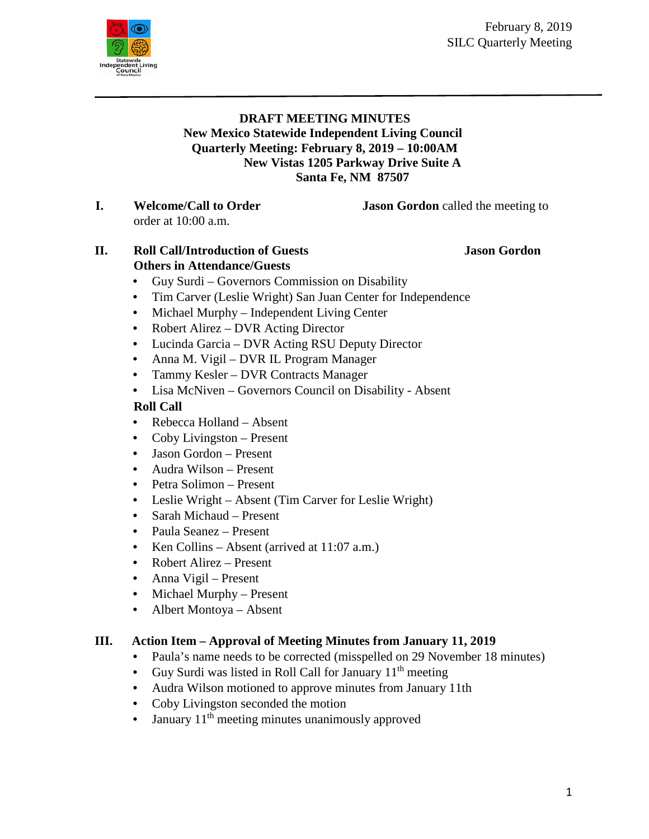

#### **DRAFT MEETING MINUTES New Mexico Statewide Independent Living Council Quarterly Meeting: February 8, 2019 – 10:00AM New Vistas 1205 Parkway Drive Suite A Santa Fe, NM 87507**

**I. Welcome/Call to Order Jason Gordon** called the meeting to order at 10:00 a.m.

## **II. Roll Call/Introduction of Guests Jason Gordon Others in Attendance/Guests**

- Guy Surdi Governors Commission on Disability
- Tim Carver (Leslie Wright) San Juan Center for Independence
- Michael Murphy Independent Living Center
- Robert Alirez DVR Acting Director
- Lucinda Garcia DVR Acting RSU Deputy Director
- Anna M. Vigil DVR IL Program Manager
- Tammy Kesler DVR Contracts Manager
- Lisa McNiven Governors Council on Disability Absent

## **Roll Call**

- Rebecca Holland Absent
- Coby Livingston Present
- Jason Gordon Present
- Audra Wilson Present
- Petra Solimon Present
- Leslie Wright Absent (Tim Carver for Leslie Wright)
- Sarah Michaud Present
- Paula Seanez Present
- Ken Collins Absent (arrived at 11:07 a.m.)
- Robert Alirez Present
- Anna Vigil Present
- Michael Murphy Present
- Albert Montoya Absent

# **III. Action Item – Approval of Meeting Minutes from January 11, 2019**

- Paula's name needs to be corrected (misspelled on 29 November 18 minutes)
- Guy Surdi was listed in Roll Call for January  $11<sup>th</sup>$  meeting
- Audra Wilson motioned to approve minutes from January 11th
- Coby Livingston seconded the motion
- January  $11<sup>th</sup>$  meeting minutes unanimously approved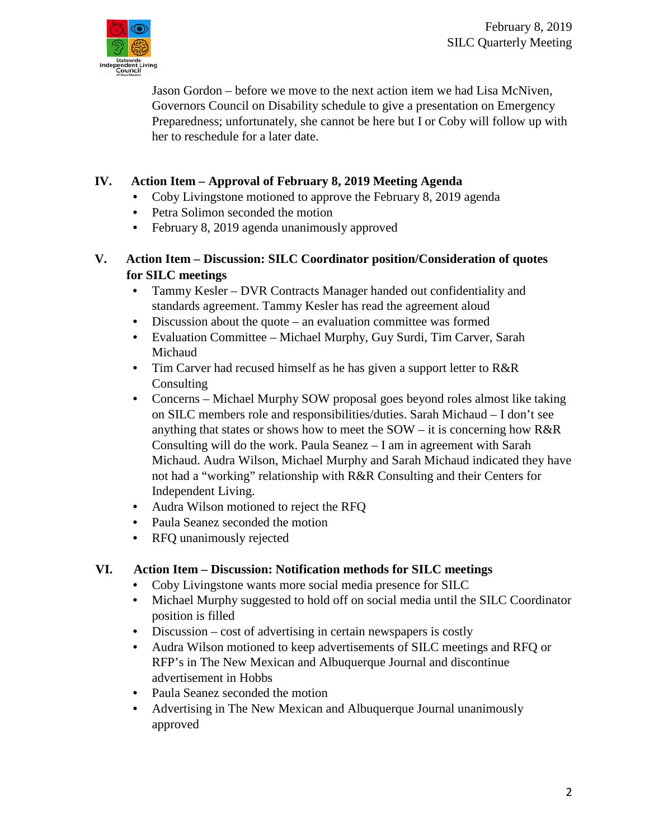

Jason Gordon – before we move to the next action item we had Lisa McNiven, Governors Council on Disability schedule to give a presentation on Emergency Preparedness; unfortunately, she cannot be here but I or Coby will follow up with her to reschedule for a later date.

## **IV. Action Item – Approval of February 8, 2019 Meeting Agenda**

- Coby Livingstone motioned to approve the February 8, 2019 agenda
- Petra Solimon seconded the motion
- February 8, 2019 agenda unanimously approved

#### **V. Action Item – Discussion: SILC Coordinator position/Consideration of quotes for SILC meetings**

- Tammy Kesler DVR Contracts Manager handed out confidentiality and standards agreement. Tammy Kesler has read the agreement aloud
- Discussion about the quote an evaluation committee was formed
- Evaluation Committee Michael Murphy, Guy Surdi, Tim Carver, Sarah Michaud
- Tim Carver had recused himself as he has given a support letter to R&R **Consulting**
- Concerns Michael Murphy SOW proposal goes beyond roles almost like taking on SILC members role and responsibilities/duties. Sarah Michaud – I don't see anything that states or shows how to meet the  $SOW - it$  is concerning how  $R\&R$ Consulting will do the work. Paula Seanez – I am in agreement with Sarah Michaud. Audra Wilson, Michael Murphy and Sarah Michaud indicated they have not had a "working" relationship with R&R Consulting and their Centers for Independent Living.
- Audra Wilson motioned to reject the RFQ
- Paula Seanez seconded the motion
- RFQ unanimously rejected

#### **VI. Action Item – Discussion: Notification methods for SILC meetings**

- Coby Livingstone wants more social media presence for SILC
- Michael Murphy suggested to hold off on social media until the SILC Coordinator position is filled
- Discussion cost of advertising in certain newspapers is costly
- Audra Wilson motioned to keep advertisements of SILC meetings and RFQ or RFP's in The New Mexican and Albuquerque Journal and discontinue advertisement in Hobbs
- Paula Seanez seconded the motion
- Advertising in The New Mexican and Albuquerque Journal unanimously approved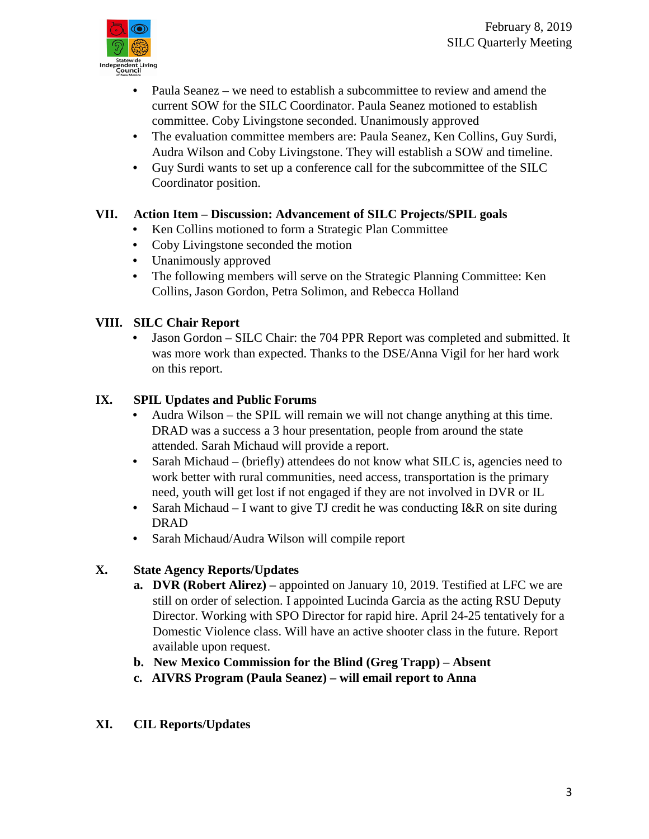- Paula Seanez we need to establish a subcommittee to review and amend the current SOW for the SILC Coordinator. Paula Seanez motioned to establish committee. Coby Livingstone seconded. Unanimously approved
- The evaluation committee members are: Paula Seanez, Ken Collins, Guy Surdi, Audra Wilson and Coby Livingstone. They will establish a SOW and timeline.
- Guy Surdi wants to set up a conference call for the subcommittee of the SILC Coordinator position.

## **VII. Action Item – Discussion: Advancement of SILC Projects/SPIL goals**

- Ken Collins motioned to form a Strategic Plan Committee
- Coby Livingstone seconded the motion
- Unanimously approved
- The following members will serve on the Strategic Planning Committee: Ken Collins, Jason Gordon, Petra Solimon, and Rebecca Holland

## **VIII. SILC Chair Report**

• Jason Gordon – SILC Chair: the 704 PPR Report was completed and submitted. It was more work than expected. Thanks to the DSE/Anna Vigil for her hard work on this report.

## **IX. SPIL Updates and Public Forums**

- Audra Wilson the SPIL will remain we will not change anything at this time. DRAD was a success a 3 hour presentation, people from around the state attended. Sarah Michaud will provide a report.
- Sarah Michaud (briefly) attendees do not know what SILC is, agencies need to work better with rural communities, need access, transportation is the primary need, youth will get lost if not engaged if they are not involved in DVR or IL
- Sarah Michaud I want to give TJ credit he was conducting I&R on site during DRAD
- Sarah Michaud/Audra Wilson will compile report

# **X. State Agency Reports/Updates**

- **a. DVR (Robert Alirez) –** appointed on January 10, 2019. Testified at LFC we are still on order of selection. I appointed Lucinda Garcia as the acting RSU Deputy Director. Working with SPO Director for rapid hire. April 24-25 tentatively for a Domestic Violence class. Will have an active shooter class in the future. Report available upon request.
- **b. New Mexico Commission for the Blind (Greg Trapp) – Absent**
- **c. AIVRS Program (Paula Seanez) – will email report to Anna**

## **XI. CIL Reports/Updates**